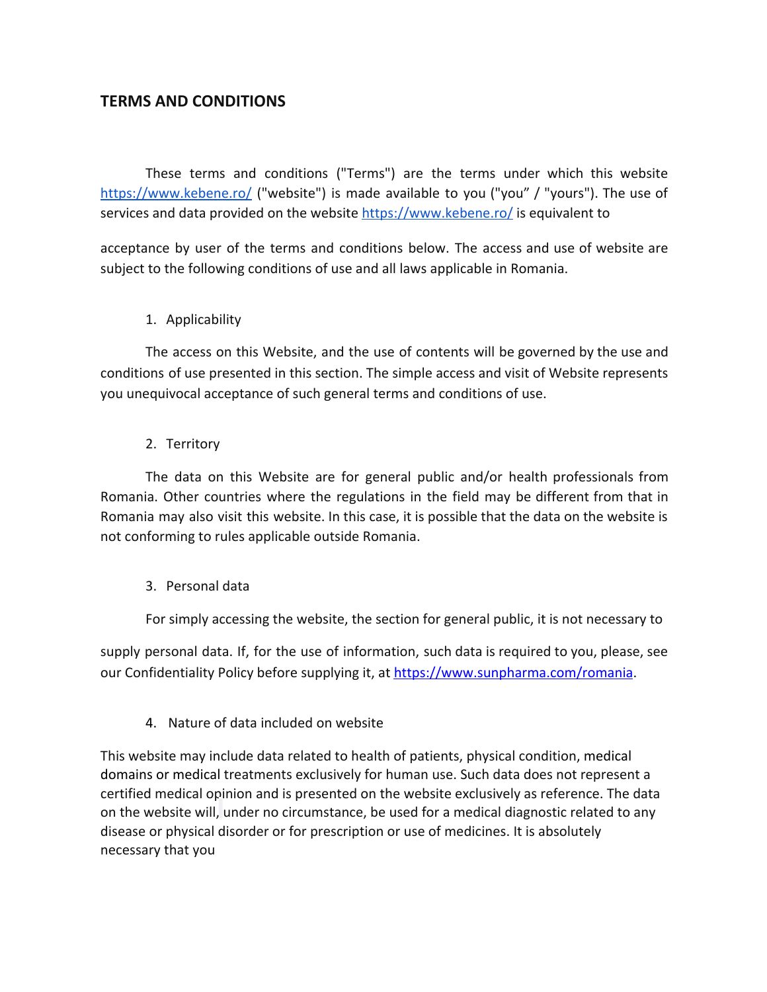# **TERMS AND CONDITIONS**

These terms and conditions ("Terms") are the terms under which this website <https://www.kebene.ro/> ("website") is made available to you ("you" / "yours"). The use of services and data provided on the website <https://www.kebene.ro/>is equivalent to

acceptance by user of the terms and conditions below. The access and use of website are subject to the following conditions of use and all laws applicable in Romania.

### 1. Applicability

The access on this Website, and the use of contents will be governed by the use and conditions of use presented in this section. The simple access and visit of Website represents you unequivocal acceptance of such general terms and conditions of use.

### 2. Territory

The data on this Website are for general public and/or health professionals from Romania. Other countries where the regulations in the field may be different from that in Romania may also visit this website. In this case, it is possible that the data on the website is not conforming to rules applicable outside Romania.

#### 3. Personal data

For simply accessing the website, the section for general public, it is not necessary to

supply personal data. If, for the use of information, such data is required to you, please, see our Confidentiality Policy before supplying it, at [https://www.sunpharma.com/romania.](https://www.sunpharma.com/romania)

## 4. Nature of data included on website

This website may include data related to health of patients, physical condition, medical domains or medical treatments exclusively for human use. Such data does not represent a certified medical opinion and is presented on the website exclusively as reference. The data on the website will, under no circumstance, be used for a medical diagnostic related to any disease or physical disorder or for prescription or use of medicines. It is absolutely necessary that you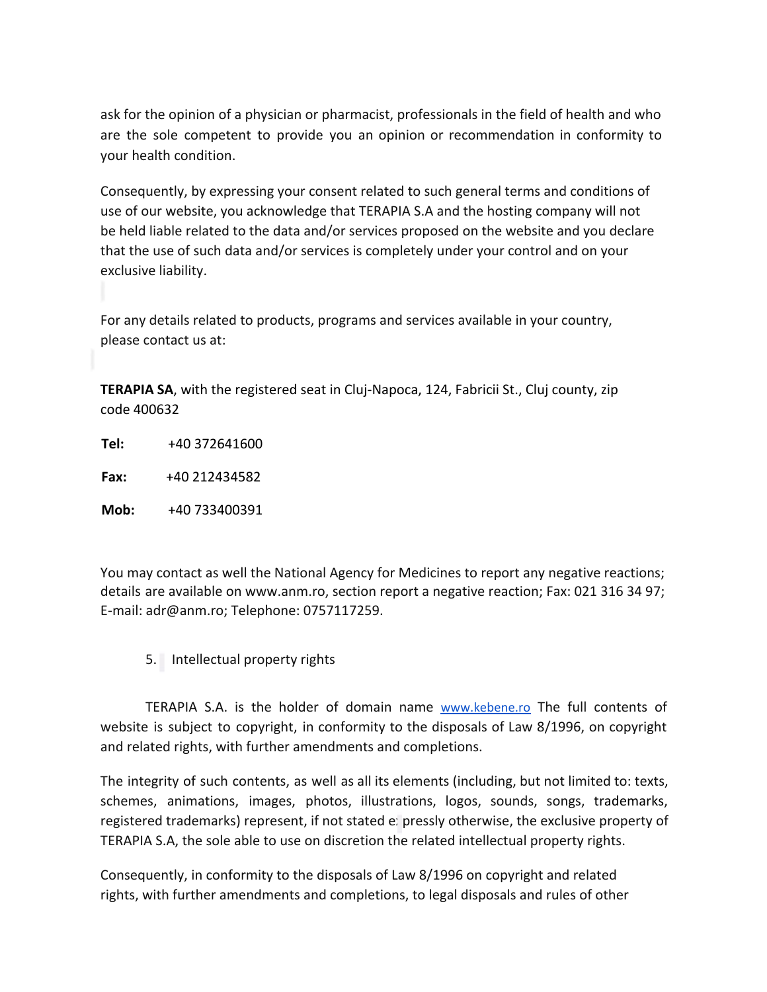ask for the opinion of a physician or pharmacist, professionals in the field of health and who are the sole competent to provide you an opinion or recommendation in conformity to your health condition.

Consequently, by expressing your consent related to such general terms and conditions of use of our website, you acknowledge that TERAPIA S.A and the hosting company will not be held liable related to the data and/or services proposed on the website and you declare that the use of such data and/or services is completely under your control and on your exclusive liability.

For any details related to products, programs and services available in your country, please contact us at:

**TERAPIA SA**, with the registered seat in Cluj-Napoca, 124, Fabricii St., Cluj county, zip code 400632

**Tel:** +40 372641600

**Fax:** +40 212434582

**Mob:** +40 733400391

You may contact as well the National Agency for Medicines to report any negative reactions; details are available on [www.anm.ro,](http://www.anm.ro/) section report a negative reaction; Fax: 021 316 34 97; E-mail: adr@anm.ro; Telephone: 0757117259.

5. Intellectual property rights

TERAPIA S.A. is the holder of domain name [www.kebene.ro](http://www.kebene.ro/) The full contents of website is subject to copyright, in conformity to the disposals of Law 8/1996, on copyright and related rights, with further amendments and completions.

The integrity of such contents, as well as all its elements (including, but not limited to: texts, schemes, animations, images, photos, illustrations, logos, sounds, songs, trademarks, registered trademarks) represent, if not stated expressly otherwise, the exclusive property of TERAPIA S.A, the sole able to use on discretion the related intellectual property rights.

Consequently, in conformity to the disposals of Law 8/1996 on copyright and related rights, with further amendments and completions, to legal disposals and rules of other